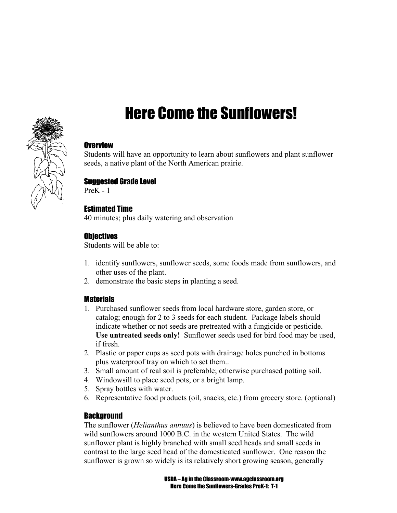# Here Come the Sunflowers!

#### **Overview**

Students will have an opportunity to learn about sunflowers and plant sunflower seeds, a native plant of the North American prairie.

#### Suggested Grade Level

PreK - 1

#### Estimated Time

40 minutes; plus daily watering and observation

#### **Objectives**

Students will be able to:

- 1. identify sunflowers, sunflower seeds, some foods made from sunflowers, and other uses of the plant.
- 2. demonstrate the basic steps in planting a seed.

### **Materials**

- 1. Purchased sunflower seeds from local hardware store, garden store, or catalog; enough for 2 to 3 seeds for each student. Package labels should indicate whether or not seeds are pretreated with a fungicide or pesticide. **Use untreated seeds only!** Sunflower seeds used for bird food may be used, if fresh.
- 2. Plastic or paper cups as seed pots with drainage holes punched in bottoms plus waterproof tray on which to set them..
- 3. Small amount of real soil is preferable; otherwise purchased potting soil.
- 4. Windowsill to place seed pots, or a bright lamp.
- 5. Spray bottles with water.
- 6. Representative food products (oil, snacks, etc.) from grocery store. (optional)

#### **Background**

The sunflower (*Helianthus annuus*) is believed to have been domesticated from wild sunflowers around 1000 B.C. in the western United States. The wild sunflower plant is highly branched with small seed heads and small seeds in contrast to the large seed head of the domesticated sunflower. One reason the sunflower is grown so widely is its relatively short growing season, generally

> USDA – Ag in the Classroom-www.agclassroom.org Here Come the Sunflowers-Grades PreK-1: T-1

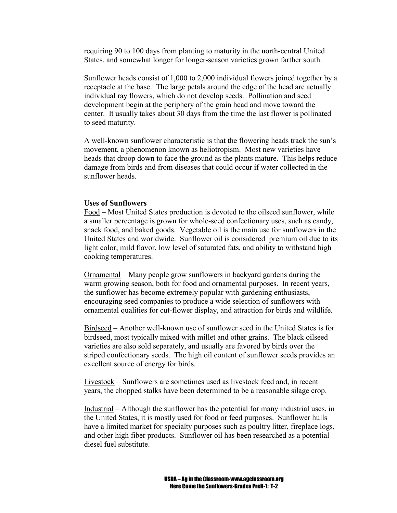requiring 90 to 100 days from planting to maturity in the north-central United States, and somewhat longer for longer-season varieties grown farther south.

Sunflower heads consist of 1,000 to 2,000 individual flowers joined together by a receptacle at the base. The large petals around the edge of the head are actually individual ray flowers, which do not develop seeds. Pollination and seed development begin at the periphery of the grain head and move toward the center. It usually takes about 30 days from the time the last flower is pollinated to seed maturity.

A well-known sunflower characteristic is that the flowering heads track the sun's movement, a phenomenon known as heliotropism. Most new varieties have heads that droop down to face the ground as the plants mature. This helps reduce damage from birds and from diseases that could occur if water collected in the sunflower heads.

#### **Uses of Sunflowers**

Food – Most United States production is devoted to the oilseed sunflower, while a smaller percentage is grown for whole-seed confectionary uses, such as candy, snack food, and baked goods. Vegetable oil is the main use for sunflowers in the United States and worldwide. Sunflower oil is considered premium oil due to its light color, mild flavor, low level of saturated fats, and ability to withstand high cooking temperatures.

Ornamental – Many people grow sunflowers in backyard gardens during the warm growing season, both for food and ornamental purposes. In recent years, the sunflower has become extremely popular with gardening enthusiasts, encouraging seed companies to produce a wide selection of sunflowers with ornamental qualities for cut-flower display, and attraction for birds and wildlife.

Birdseed – Another well-known use of sunflower seed in the United States is for birdseed, most typically mixed with millet and other grains. The black oilseed varieties are also sold separately, and usually are favored by birds over the striped confectionary seeds. The high oil content of sunflower seeds provides an excellent source of energy for birds.

Livestock – Sunflowers are sometimes used as livestock feed and, in recent years, the chopped stalks have been determined to be a reasonable silage crop.

Industrial – Although the sunflower has the potential for many industrial uses, in the United States, it is mostly used for food or feed purposes. Sunflower hulls have a limited market for specialty purposes such as poultry litter, fireplace logs, and other high fiber products. Sunflower oil has been researched as a potential diesel fuel substitute.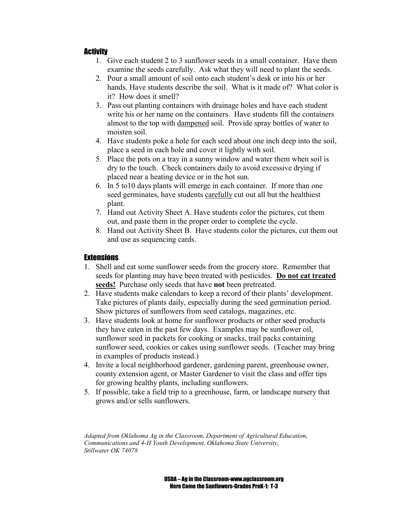#### **Activity**

- 1. Give each student 2 to 3 sunflower seeds in a small container. Have them examine the seeds carefully. Ask what they will need to plant the seeds.
- 2. Pour a small amount of soil onto each student's desk or into his or her hands. Have students describe the soil. What is it made of? What color is it? How does it smell?
- 3. Pass out planting containers with drainage holes and have each student write his or her name on the containers. Have students fill the containers almost to the top with dampened soil. Provide spray bottles of water to moisten soil.
- 4. Have students poke a hole for each seed about one inch deep into the soil, place a seed in each hole and cover it lightly with soil.
- 5. Place the pots on a tray in a sunny window and water them when soil is dry to the touch. Check containers daily to avoid excessive drying if placed near a heating device or in the hot sun.
- 6. In 5 to10 days plants will emerge in each container. If more than one seed germinates, have students carefully cut out all but the healthiest plant.
- 7. Hand out Activity Sheet A. Have students color the pictures, cut them out, and paste them in the proper order to complete the cycle.
- 8. Hand out Activity Sheet B. Have students color the pictures, cut them out and use as sequencing cards.

#### **Extensions**

- 1. Shell and eat some sunflower seeds from the grocery store. Remember that seeds for planting may have been treated with pesticides. **Do not eat treated seeds!** Purchase only seeds that have **not** been pretreated.
- 2. Have students make calendars to keep a record of their plants' development. Take pictures of plants daily, especially during the seed germination period. Show pictures of sunflowers from seed catalogs, magazines, etc.
- 3. Have students look at home for sunflower products or other seed products they have eaten in the past few days. Examples may be sunflower oil, sunflower seed in packets for cooking or snacks, trail packs containing sunflower seed, cookies or cakes using sunflower seeds. (Teacher may bring in examples of products instead.)
- 4. Invite a local neighborhood gardener, gardening parent, greenhouse owner, county extension agent, or Master Gardener to visit the class and offer tips for growing healthy plants, including sunflowers.
- 5. If possible, take a field trip to a greenhouse, farm, or landscape nursery that grows and/or sells sunflowers.

*Adapted from Oklahoma Ag in the Classroom, Department of Agricultural Education, Communications and 4-H Youth Development, Oklahoma State University, Stillwater OK 74078* 

> USDA – Ag in the Classroom-www.agclassroom.org Here Come the Sunflowers-Grades PreK-1: T-3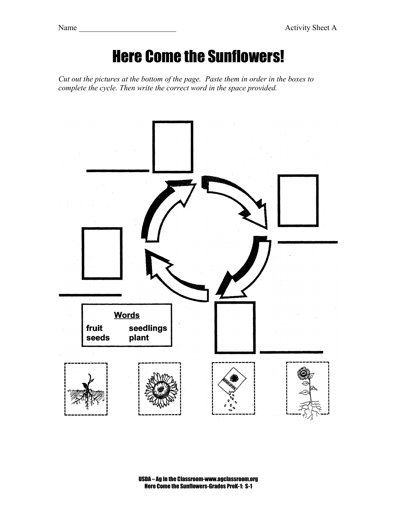### Here Come the Sunflowers!

*Cut out the pictures at the bottom of the page. Paste them in order in the boxes to complete the cycle. Then write the correct word in the space provided.*